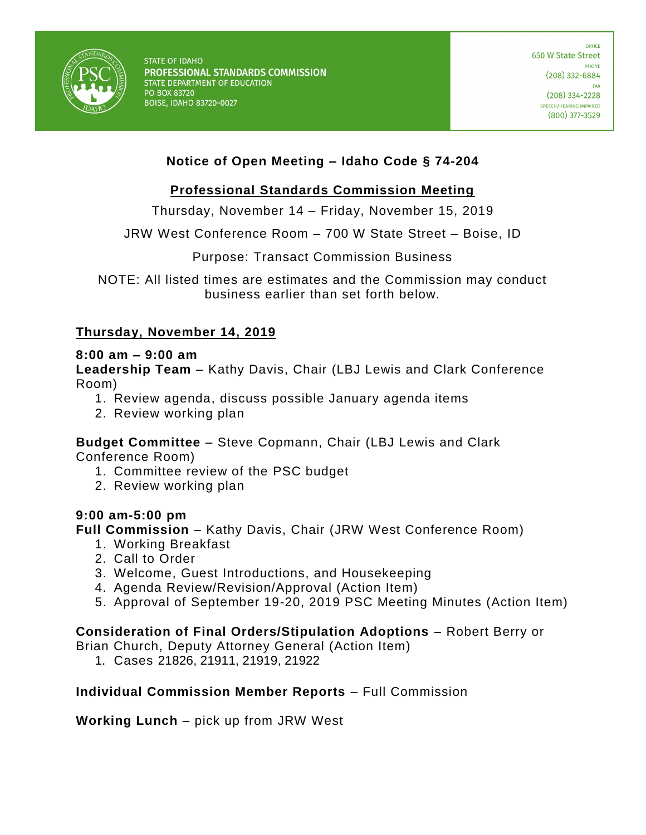

# **Notice of Open Meeting – Idaho Code § 74-204**

# **Professional Standards Commission Meeting**

Thursday, November 14 – Friday, November 15, 2019

JRW West Conference Room – 700 W State Street – Boise, ID

Purpose: Transact Commission Business

NOTE: All listed times are estimates and the Commission may conduct business earlier than set forth below.

### **Thursday, November 14, 2019**

#### **8:00 am – 9:00 am**

**Leadership Team** – Kathy Davis, Chair (LBJ Lewis and Clark Conference Room)

- 1. Review agenda, discuss possible January agenda items
- 2. Review working plan

**Budget Committee** – Steve Copmann, Chair (LBJ Lewis and Clark Conference Room)

- 1. Committee review of the PSC budget
- 2. Review working plan

#### **9:00 am-5:00 pm**

**Full Commission** – Kathy Davis, Chair (JRW West Conference Room)

- 1. Working Breakfast
- 2. Call to Order
- 3. Welcome, Guest Introductions, and Housekeeping
- 4. Agenda Review/Revision/Approval (Action Item)
- 5. Approval of September 19-20, 2019 PSC Meeting Minutes (Action Item)

#### **Consideration of Final Orders/Stipulation Adoptions** – Robert Berry or

Brian Church, Deputy Attorney General (Action Item)

1. Cases 21826, 21911, 21919, 21922

### **Individual Commission Member Reports** – Full Commission

**Working Lunch** – pick up from JRW West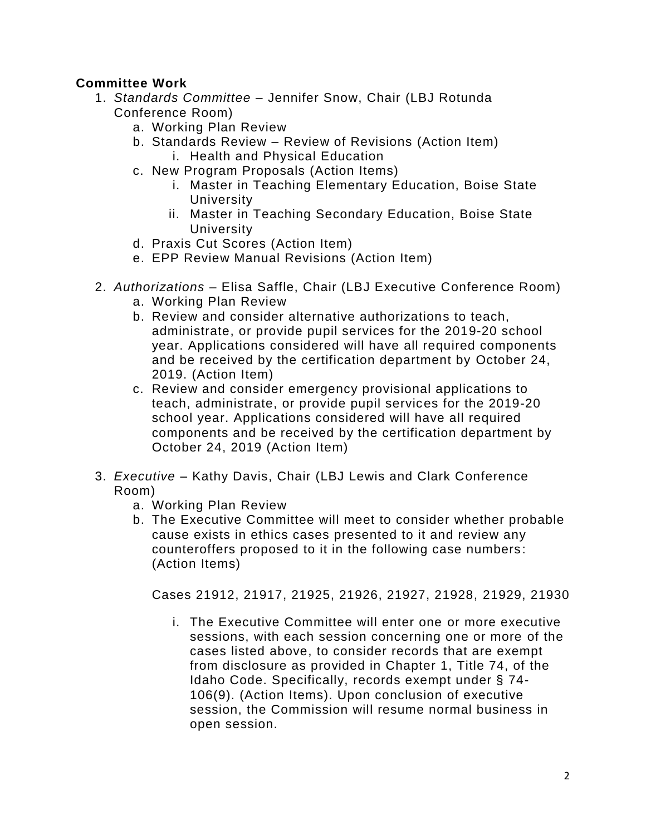# **Committee Work**

- 1. *Standards Committee* Jennifer Snow, Chair (LBJ Rotunda Conference Room)
	- a. Working Plan Review
	- b. Standards Review Review of Revisions (Action Item) i. Health and Physical Education
	- c. New Program Proposals (Action Items)
		- i. Master in Teaching Elementary Education, Boise State **University**
		- ii. Master in Teaching Secondary Education, Boise State **University**
	- d. Praxis Cut Scores (Action Item)
	- e. EPP Review Manual Revisions (Action Item)
- 2. *Authorizations*  Elisa Saffle, Chair (LBJ Executive Conference Room)
	- a. Working Plan Review
	- b. Review and consider alternative authorizations to teach, administrate, or provide pupil services for the 2019-20 school year. Applications considered will have all required components and be received by the certification department by October 24, 2019. (Action Item)
	- c. Review and consider emergency provisional applications to teach, administrate, or provide pupil services for the 2019-20 school year. Applications considered will have all required components and be received by the certification department by October 24, 2019 (Action Item)
- 3. *Executive* Kathy Davis, Chair (LBJ Lewis and Clark Conference Room)
	- a. Working Plan Review
	- b. The Executive Committee will meet to consider whether probable cause exists in ethics cases presented to it and review any counteroffers proposed to it in the following case numbers : (Action Items)

Cases 21912, 21917, 21925, 21926, 21927, 21928, 21929, 21930

i. The Executive Committee will enter one or more executive sessions, with each session concerning one or more of the cases listed above, to consider records that are exempt from disclosure as provided in Chapter 1, Title 74, of the Idaho Code. Specifically, records exempt under § 74- 106(9). (Action Items). Upon conclusion of executive session, the Commission will resume normal business in open session.